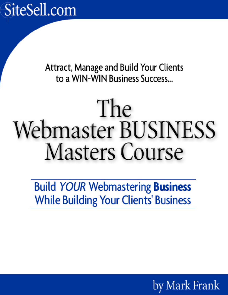SiteSell.com

Attract, Manage and Build Your Clients to a WIN-WIN Business Success...

# The **Webmaster BUSINESS Masters Course**

**Build YOUR Webmastering Business While Building Your Clients' Business** 

by Mark Frank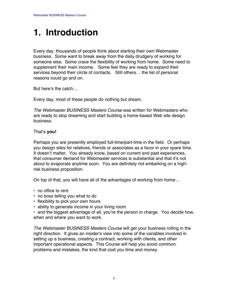### **1. Introduction**

Every day, thousands of people think about starting their own Webmaster business. Some want to break away from the daily drudgery of working for someone else. Some crave the flexibility of working from home. Some need to supplement their main income. Some feel they are ready to expand their services beyond their circle of contacts. Still others… the list of personal reasons could go and on.

But here's the catch…

Every day, most of these people do nothing but dream.

The Webmaster BUSINESS Masters Course was written for Webmasters who are ready to stop dreaming and start building a home-based Web site design business.

#### That's **you!**

Perhaps you are presently employed full-time/part-time in the field. Or perhaps you design sites for relatives, friends or associates as a favor in your spare time. It doesn't matter. You already know, based on current and past experiences, that consumer demand for Webmaster services is substantial and that it's not about to evaporate anytime soon. You are definitely not embarking on a highrisk business proposition.

On top of that, you will have all of the advantages of working from home…

- **•** no office to rent
- **•** no boss telling you what to do
- **•** flexibility to pick your own hours
- **•** ability to generate income in your living room

**•** and the biggest advantage of all, you're the person in charge. You decide how, when and where you want to work.

The Webmaster BUSINESS Masters Course will get your business rolling in the right direction. It gives an insider's view into some of the variables involved in setting up a business, creating a contract, working with clients, and other important operational aspects. This Course will help you avoid common problems and mistakes, the kind that cost you time and money.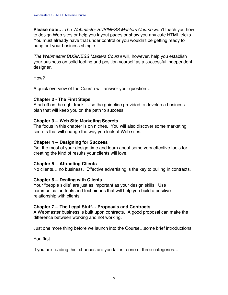**Please note…** The Webmaster BUSINESS Masters Course won't teach you how to design Web sites or help you layout pages or show you any cute HTML tricks. You must already have that under control or you wouldn't be getting ready to hang out your business shingle.

The Webmaster BUSINESS Masters Course will, however, help you establish your business on solid footing and position yourself as a successful independent designer.

How?

A quick overview of the Course will answer your question…

#### **Chapter 2** - **The First Steps**

Start off on the right track. Use the guideline provided to develop a business plan that will keep you on the path to success.

#### **Chapter 3 -- Web Site Marketing Secrets**

The focus in this chapter is on niches. You will also discover some marketing secrets that will change the way you look at Web sites.

#### **Chapter 4 -- Designing for Success**

Get the most of your design time and learn about some very effective tools for creating the kind of results your clients will love.

#### **Chapter 5 -- Attracting Clients**

No clients… no business. Effective advertising is the key to pulling in contracts.

#### **Chapter 6 -- Dealing with Clients**

Your "people skills" are just as important as your design skills. Use communication tools and techniques that will help you build a positive relationship with clients.

#### **Chapter 7 -- The Legal Stuff… Proposals and Contracts**

A Webmaster business is built upon contracts. A good proposal can make the difference between working and not working.

Just one more thing before we launch into the Course…some brief introductions.

You first…

If you are reading this, chances are you fall into one of three categories…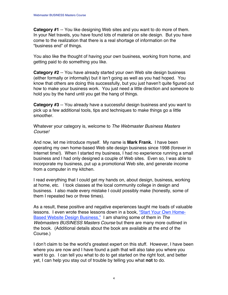**Category #1** -- You like designing Web sites and you want to do more of them. In your Net travels, you have found lots of material on site design. But you have come to the realization that there is a real shortage of information on the "business end" of things.

You also like the thought of having your own business, working from home, and getting paid to do something you like.

**Category #2** -- You have already started your own Web site design business (either formally or informally) but it isn't going as well as you had hoped. You know that others are doing this successfully, but you just haven't quite figured out how to make your business work. You just need a little direction and someone to hold you by the hand until you get the hang of things.

**Category #3** -- You already have a successful design business and you want to pick up a few additional tools, tips and techniques to make things go a little smoother.

Whatever your category is, welcome to The Webmaster Business Masters Course!

And now, let me introduce myself. My name is **Mark Frank.** I have been operating my own home-based Web site design business since 1998 (forever in Internet time!). When I started my business, I had no experience running a small business and I had only designed a couple of Web sites. Even so, I was able to incorporate my business, put up a promotional Web site, and generate income from a computer in my kitchen.

I read everything that I could get my hands on, about design, business, working at home, etc. I took classes at the local community college in design and business. I also made every mistake I could possibly make (honestly, some of them I repeated two or three times).

As a result, these positive and negative experiences taught me loads of valuable lessons. I even wrote these lessons down in a book, ["Start Your Own Home-](http://www.websitedesignbiz.com/)**Based Website Design Business."** I am sharing some of them in The Webmasters BUSINESS Masters Course but there are many more outlined in the book. (Additional details about the book are available at the end of the Course.)

I don't claim to be the world's greatest expert on this stuff. However, I have been where you are now and I have found a path that will also take you where you want to go. I can tell you what to do to get started on the right foot, and better yet, I can help you stay out of trouble by telling you what **not** to do.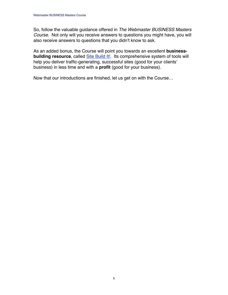So, follow the valuable guidance offered in The Webmaster BUSINESS Masters Course. Not only will you receive answers to questions you might have, you will also receive answers to questions that you didn't know to ask.

As an added bonus, the Course will point you towards an excellent **businessbuilding resource**, called **Site Build It!**. Its comprehensive system of tools will help you deliver traffic-generating, successful sites (good for your clients' business) in less time and with a **profit** (good for your business).

Now that our introductions are finished, let us get on with the Course…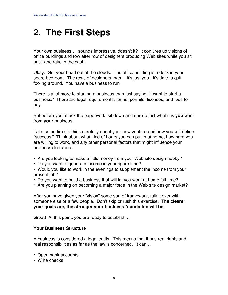### **2. The First Steps**

Your own business… sounds impressive, doesn't it? It conjures up visions of office buildings and row after row of designers producing Web sites while you sit back and rake in the cash.

Okay. Get your head out of the clouds. The office building is a desk in your spare bedroom. The rows of designers, nah... it's just you. It's time to quit fooling around. You have a business to run.

There is a lot more to starting a business than just saying, "I want to start a business." There are legal requirements, forms, permits, licenses, and fees to pay.

But before you attack the paperwork, sit down and decide just what it is **you** want from **your** business.

Take some time to think carefully about your new venture and how you will define "success." Think about what kind of hours you can put in at home, how hard you are willing to work, and any other personal factors that might influence your business decisions…

- **•** Are you looking to make a little money from your Web site design hobby?
- **•** Do you want to generate income in your spare time?

**•** Would you like to work in the evenings to supplement the income from your present job?

- **•** Do you want to build a business that will let you work at home full time?
- **•** Are you planning on becoming a major force in the Web site design market?

After you have given your "vision" some sort of framework, talk it over with someone else or a few people. Don't skip or rush this exercise. **The clearer your goals are, the stronger your business foundation will be.**

Great! At this point, you are ready to establish…

#### **Your Business Structure**

A business is considered a legal entity. This means that it has real rights and real responsibilities as far as the law is concerned. It can…

- Open bank accounts
- **•** Write checks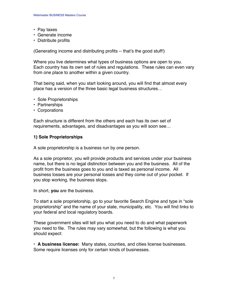- **•** Pay taxes
- **•** Generate income
- **•** Distribute profits

(Generating income and distributing profits -- that's the good stuff!)

Where you live determines what types of business options are open to you. Each country has its own set of rules and regulations. These rules can even vary from one place to another within a given country.

That being said, when you start looking around, you will find that almost every place has a version of the three basic legal business structures…

- **•** Sole Proprietorships
- **•** Partnerships
- **•** Corporations

Each structure is different from the others and each has its own set of requirements, advantages, and disadvantages as you will soon see…

#### **1) Sole Proprietorships**

A sole proprietorship is a business run by one person.

As a sole proprietor, you will provide products and services under your business name, but there is no legal distinction between you and the business. All of the profit from the business goes to you and is taxed as personal income. All business losses are your personal losses and they come out of your pocket. If you stop working, the business stops.

In short, **you** are the business.

To start a sole proprietorship, go to your favorite Search Engine and type in "sole proprietorship" and the name of your state, municipality, etc. You will find links to your federal and local regulatory boards.

These government sites will tell you what you need to do and what paperwork you need to file. The rules may vary somewhat, but the following is what you should expect:

**• A business license:** Many states, counties, and cities license businesses. Some require licenses only for certain kinds of businesses.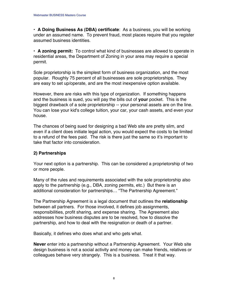**• A Doing Business As (DBA) certificate**: As a business, you will be working under an assumed name. To prevent fraud, most places require that you register assumed business identities.

**• A zoning permit:** To control what kind of businesses are allowed to operate in residential areas, the Department of Zoning in your area may require a special permit.

Sole proprietorship is the simplest form of business organization, and the most popular. Roughly 75 percent of all businesses are sole proprietorships. They are easy to set up/operate, and are the most inexpensive option available.

However, there are risks with this type of organization. If something happens and the business is sued, you will pay the bills out of **your** pocket. This is the biggest drawback of a sole proprietorship -- your personal assets are on the line. You can lose your kid's college tuition, your car, your cash assets, and even your house.

The chances of being sued for designing a bad Web site are pretty slim, and even if a client does initiate legal action, you would expect the costs to be limited to a refund of the fees paid. The risk is there just the same so it's important to take that factor into consideration.

#### **2) Partnerships**

Your next option is a partnership. This can be considered a proprietorship of two or more people.

Many of the rules and requirements associated with the sole proprietorship also apply to the partnership (e.g., DBA, zoning permits, etc.) But there is an additional consideration for partnerships… "The Partnership Agreement."

The Partnership Agreement is a legal document that outlines the **relationship** between all partners. For those involved, it defines job assignments, responsibilities, profit sharing, and expense sharing. The Agreement also addresses how business disputes are to be resolved, how to dissolve the partnership, and how to deal with the resignation or death of a partner.

Basically, it defines who does what and who gets what.

**Never** enter into a partnership without a Partnership Agreement. Your Web site design business is not a social activity and money can make friends, relatives or colleagues behave very strangely. This is a business. Treat it that way.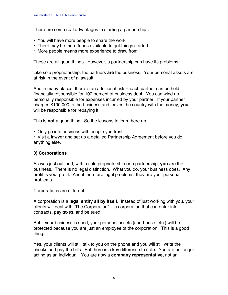There are some real advantages to starting a partnership…

- **•** You will have more people to share the work
- **•** There may be more funds available to get things started
- **•** More people means more experience to draw from

These are all good things. However, a partnership can have its problems.

Like sole proprietorship, the partners **are** the business. Your personal assets are at risk in the event of a lawsuit.

And in many places, there is an additional risk -- each partner can be held financially responsible for 100 percent of business debt. You can wind up personally responsible for expenses incurred by your partner. If your partner charges \$100,000 to the business and leaves the country with the money, **you** will be responsible for repaying it.

This is **not** a good thing. So the lessons to learn here are…

**•** Only go into business with people you trust

**•** Visit a lawyer and set up a detailed Partnership Agreement before you do anything else.

#### **3) Corporations**

As was just outlined, with a sole proprietorship or a partnership, **you** are the business. There is no legal distinction. What you do, your business does. Any profit is your profit. And if there are legal problems, they are your personal problems.

Corporations are different.

A corporation is a **legal entity all by itself.** Instead of just working with you, your clients will deal with "The Corporation" -- a corporation that can enter into contracts, pay taxes, and be sued.

But if your business is sued, your personal assets (car, house, etc.) will be protected because you are just an employee of the corporation. This is a good thing.

Yes, your clients will still talk to you on the phone and you will still write the checks and pay the bills. But there is a key difference to note. You are no longer acting as an individual. You are now a **company representative,** not an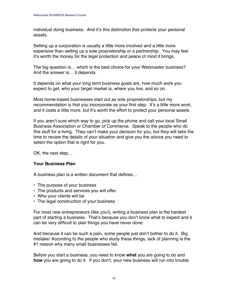individual doing business. And it's this distinction that protects your personal assets.

Setting up a corporation is usually a little more involved and a little more expensive than setting up a sole proprietorship or a partnership. You may feel it's worth the money for the legal protection and peace of mind it brings.

The big question is… which is the best choice for your Webmaster business? And the answer is… it depends.

It depends on what your long term business goals are, how much work you expect to get, who your target market is, where you live, and so on.

Most home-based businesses start out as sole proprietorships, but my recommendation is that you incorporate as your first step. It's a little more work, and it costs a little more, but it's worth the effort to protect your personal assets.

If you aren't sure which way to go, pick up the phone and call your local Small Business Association or Chamber of Commerce. Speak to the people who do this stuff for a living. They can't make your decision for you, but they will take the time to review the details of your situation and give you the advice you need to select the option that is right for you.

OK, the next step…

#### **Your Business Plan**

A business plan is a written document that defines…

- **•** The purpose of your business
- The products and services you will offer
- Who your clients will be
- The legal construction of your business

For most new entrepreneurs (like you!), writing a business plan is the hardest part of starting a business. That's because you don't know what to expect and it can be very difficult to plan things you have never done.

And because it can be such a pain, some people just don't bother to do it. Big mistake! According to the people who study these things, lack of planning is the #1 reason why many small businesses fail.

Before you start a business, you need to know **what** you are going to do and **how** you are going to do it. If you don't, your new business will run into trouble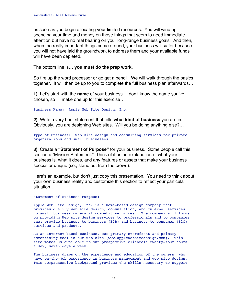as soon as you begin allocating your limited resources. You will wind up spending your time and money on those things that seem to need immediate attention but have no real bearing on your long-range business goals. And then, when the really important things come around, your business will suffer because you will not have laid the groundwork to address them and your available funds will have been depleted.

The bottom line is**… you must do the prep work.**

So fire up the word processor or go get a pencil. We will walk through the basics together. It will then be up to you to complete the full business plan afterwards…

**1)** Let's start with the **name** of your business. I don't know the name you've chosen, so I'll make one up for this exercise…

Business Name: Apple Web Site Design, Inc.

**2)** Write a very brief statement that tells **what kind of business** you are in. Obviously, you are designing Web sites. Will you be doing anything else?…

Type of Business: Web site design and consulting services for private organizations and small businesses.

**3)** Create a **"Statement of Purpose"** for your business. Some people call this section a "Mission Statement." Think of it as an explanation of what your business is, what it does, and any features or assets that make your business special or unique (i.e., stand out from the crowd).

Here's an example, but don't just copy this presentation. You need to think about your own business reality and customize this section to reflect your particular situation…

Statement of Business Purpose:

Apple Web Site Design, Inc. is a home-based design company that provides quality Web site design, consultation, and Internet services to small business owners at competitive prices. The company will focus on providing Web site design services to professionals and to companies that provide business-to-business (B2B) and business-to-consumer (B2C) services and products.

As an Internet-based business, our primary storefront and primary advertising tool is our Web site (www.applewebsitedesign.com). This site makes us available to our prospective clientele twenty-four hours a day, seven days a week.

The business draws on the experience and education of the owners, who have on-the-job experience in business management and web site design. This comprehensive background provides the skills necessary to support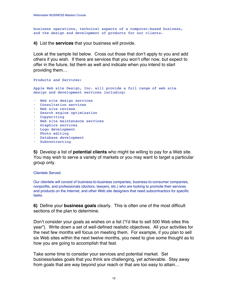business operations, technical aspects of a computer-based business, and the design and development of products for our clients.

**4)** List the **services** that your business will provide.

Look at the sample list below. Cross out those that don't apply to you and add others if you wish. If there are services that you won't offer now, but expect to offer in the future, list them as well and indicate when you intend to start providing them…

Products and Services:

Apple Web site Design, Inc. will provide a full range of web site design and development services including:

- Web site design services
- **•** Consultation services
- **•** Web site reviews
- **•** Search engine optimization
- **•** Copywriting
- **•** Web site maintenance services
- **•** Graphics services
- **•** Logo development
- **•** Photo editing
- **•** Database development
- **•** Subcontracting

**5)** Develop a list of **potential clients** who might be willing to pay for a Web site. You may wish to serve a variety of markets or you may want to target a particular group only.

Clientele Served:

Our clientele will consist of business-to-business companies, business-to-consumer companies, nonprofits, and professionals (doctors, lawyers, etc.) who are looking to promote their services and products on the Internet, and other Web site designers that need subcontractors for specific tasks.

**6)** Define your **business goals** clearly. This is often one of the most difficult sections of the plan to determine.

Don't consider your goals as wishes on a list ("I'd like to sell 500 Web sites this year"). Write down a set of well-defined realistic objectives. All your activities for the next few months will focus on meeting them. For example, if you plan to sell six Web sites within the next twelve months, you need to give some thought as to how you are going to accomplish that feat.

Take some time to consider your services and potential market. Set business/sales goals that you think are challenging, yet achievable. Stay away from goals that are way beyond your reach or that are too easy to attain…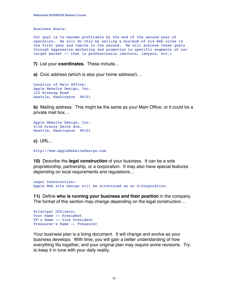Business Goals:

Our goal is to become profitable by the end of the second year of operation. We will do this by selling a minimum of six Web sites in the first year and twelve in the second. We will achieve these goals through aggressive marketing and promotion to specific segments of our target market -- that is professionals (doctors, lawyers, etc.)

**7)** List your **coordinates.** These include…

**a)** Civic address (which is also your home address!)…

```
Location of Main Office:
Apple Website Design, Inc.
123 Winesap Road
Seattle, Washington 98101
```
**b)** Mailing address. This might be the same as your Main Office, or it could be a private mail box…

```
Apple Website Design, Inc.
413A Granny Smith Ave.
Seattle, Washington 98101
```
**c)** URL…

```
http://www.AppleWebsiteDesign.com
```
**10)** Describe the **legal construction** of your business. It can be a sole proprietorship, partnership, or a corporation. It may also have special features depending on local requirements and regulations…

```
Legal Construction:
Apple Web site Design will be structured as an S-Corporation.
```
**11)** Define **who is running your business and their position** in the company. The format of this section may change depending on the legal construction…

```
Principal Officers:
Your Name -- President
VP's Name -- Vice President
Treasurer's Name -- Treasurer
```
Your business plan is a living document. It will change and evolve as your business develops. With time, you will gain a better understanding of how everything fits together, and your original plan may require some revisions. Try to keep it in tune with your daily reality.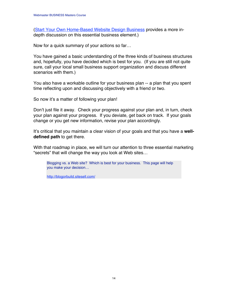[\(Start Your Own Home-Based Website Design Business](http://www.websitedesignbiz.com/) provides a more indepth discussion on this essential business element.)

Now for a quick summary of your actions so far…

You have gained a basic understanding of the three kinds of business structures and, hopefully, you have decided which is best for you. (If you are still not quite sure, call your local small business support organization and discuss different scenarios with them.)

You also have a workable outline for your business plan -- a plan that you spent time reflecting upon and discussing objectively with a friend or two.

So now it's a matter of following your plan!

Don't just file it away. Check your progress against your plan and, in turn, check your plan against your progress. If you deviate, get back on track. If your goals change or you get new information, revise your plan accordingly.

It's critical that you maintain a clear vision of your goals and that you have a **welldefined path** to get there.

With that roadmap in place, we will turn our attention to three essential marketing "secrets" that will change the way you look at Web sites…

Blogging vs. a Web site? Which is best for your business. This page will help you make your decision…

[http://blogorbuild.sitesell.com/](http://blogorbuild.sitesell.com/gitbwebaffiliate.html                 )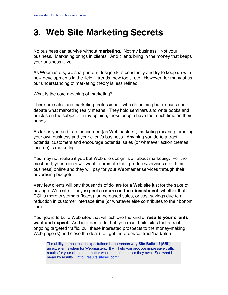### **3. Web Site Marketing Secrets**

No business can survive without **marketing.** Not my business. Not your business. Marketing brings in clients. And clients bring in the money that keeps your business alive.

As Webmasters, we sharpen our design skills constantly and try to keep up with new developments in the field -- trends, new tools, etc. However, for many of us, our understanding of marketing theory is less refined.

What is the core meaning of marketing?

There are sales and marketing professionals who do nothing but discuss and debate what marketing really means. They hold seminars and write books and articles on the subject. In my opinion, these people have too much time on their hands.

As far as you and I are concerned (as Webmasters), marketing means promoting your own business and your client's business. Anything you do to attract potential customers and encourage potential sales (or whatever action creates income) is marketing.

You may not realize it yet, but Web site design is all about marketing. For the most part, your clients will want to promote their products/services (i.e., their business) online and they will pay for your Webmaster services through their advertising budgets.

Very few clients will pay thousands of dollars for a Web site just for the sake of having a Web site. They **expect a return on their investment,** whether that ROI is more customers (leads), or increased sales, or cost savings due to a reduction in customer interface time (or whatever else contributes to their bottom line).

Your job is to build Web sites that will achieve the kind of **results your clients want and expect.** And in order to do that, you must build sites that attract ongoing targeted traffic, pull these interested prospects to the money-making Web page (s) and close the deal (i.e., get the order/contract/lead/etc.)

The ability to meet client expectations is the reason why **Site Build It! (SBI!)** is an excellent system for Webmasters. It will help you produce impressive traffic results for your clients, no matter what kind of business they own. See what I mean by results… [http://results.sitesell.com/](http://results.sitesell.com/gitbwebaffiliate.html                     )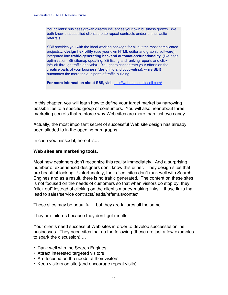Your clients' business growth directly influences your own business growth. We both know that satisfied clients create repeat contracts and/or enthusiastic referrals.

SBI! provides you with the ideal working package for all but the most complicated projects… **design flexibility** (use your own HTML editor and graphic software), integrated into **traffic-generating backend automation/functionality** (like page optimization, SE sitemap updating, SE listing and ranking reports and clickin/click-through traffic analysis). You get to concentrate your efforts on the creative parts of your business (designing and copywriting), while **SBI!** automates the more tedious parts of traffic-building.

**For more information about SBI!, visit** [http://webmaster.sitesell.com/](http://webmaster.sitesell.com/gitbwebaffiliate.html                   )

In this chapter, you will learn how to define your target market by narrowing possibilities to a specific group of consumers. You will also hear about three marketing secrets that reinforce why Web sites are more than just eye candy.

Actually, the most important secret of successful Web site design has already been alluded to in the opening paragraphs.

In case you missed it, here it is…

#### **Web sites are marketing tools.**

Most new designers don't recognize this reality immediately. And a surprising number of experienced designers don't know this either. They design sites that are beautiful looking. Unfortunately, their client sites don't rank well with Search Engines and as a result, there is no traffic generated. The content on these sites is not focused on the needs of customers so that when visitors do stop by, they "click out" instead of clicking on the client's money-making links -- those links that lead to sales/service contracts/leads/referrals/contact.

These sites may be beautiful… but they are failures all the same.

They are failures because they don't get results.

Your clients need successful Web sites in order to develop successful online businesses. They need sites that do the following (these are just a few examples to spark the discussion) …

- **•** Rank well with the Search Engines
- **•** Attract interested targeted visitors
- **•** Are focused on the needs of their visitors
- **•** Keep visitors on site (and encourage repeat visits)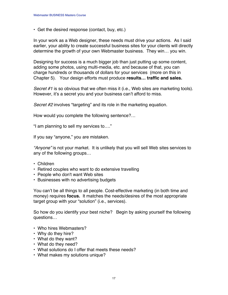**•** Get the desired response (contact, buy, etc.)

In your work as a Web designer, these needs must drive your actions. As I said earlier, your ability to create successful business sites for your clients will directly determine the growth of your own Webmaster business. They win… you win.

Designing for success is a much bigger job than just putting up some content, adding some photos, using multi-media, etc. and because of that, you can charge hundreds or thousands of dollars for your services (more on this in Chapter 5). Your design efforts must produce **results… traffic and sales.**

Secret #1 is so obvious that we often miss it (i.e., Web sites are marketing tools). However, it's a secret you and your business can't afford to miss.

Secret #2 involves "targeting" and its role in the marketing equation.

How would you complete the following sentence?…

"I am planning to sell my services to…."

If you say "anyone," you are mistaken.

"Anyone" is not your market. It is unlikely that you will sell Web sites services to any of the following groups…

- **•** Children
- **•** Retired couples who want to do extensive travelling
- **•** People who don't want Web sites
- **•** Businesses with no advertising budgets

You can't be all things to all people. Cost-effective marketing (in both time and money) requires **focus.** It matches the needs/desires of the most appropriate target group with your "solution" (i.e., services).

So how do you identify your best niche? Begin by asking yourself the following questions…

- **•** Who hires Webmasters?
- **•** Why do they hire?
- **•** What do they want?
- **•** What do they need?
- **•** What solutions do I offer that meets these needs?
- **•** What makes my solutions unique?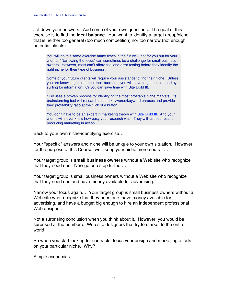Jot down your answers. Add some of your own questions. The goal of this exercise is to find the **ideal balance.** You want to identify a target group/niche that is neither too general (too much competition) nor too narrow (not enough potential clients).

You will do this same exercise many times in the future -- not for you but for your clients. "Narrowing the focus" can sometimes be a challenge for small business owners. However, most can't afford trial and error testing before they identify the right niche for their type of business.

Some of your future clients will require your assistance to find their niche. Unless you are knowledgeable about their business, you will have to get up to speed by surfing for information. Or you can save time with Site Build It!.

SBI! uses a proven process for identifying the most profitable niche markets. Its brainstorming tool will research related keywords/keyword phrases and provide their profitability ratio at the click of a button.

You don't have to be an expert in marketing theory with [Site Build It!.](http://buildit.sitesell.com/gitbwebaffiliate.html                     )And your clients will never know how easy your research was. They will just see resultsproducing marketing in action.

Back to your own niche-identifying exercise…

Your "specific" answers and niche will be unique to your own situation. However, for the purpose of this Course, we'll keep your niche more neutral …

Your target group is **small business owners** without a Web site who recognize that they need one. Now go one step further…

Your target group is small business owners without a Web site who recognize that they need one and have money available for advertising.

Narrow your focus again… Your target group is small business owners without a Web site who recognize that they need one, have money available for advertising, and have a budget big enough to hire an independent professional Web designer.

Not a surprising conclusion when you think about it. However, you would be surprised at the number of Web site designers that try to market to the entire world!

So when you start looking for contracts, focus your design and marketing efforts on your particular niche. Why?

Simple economics…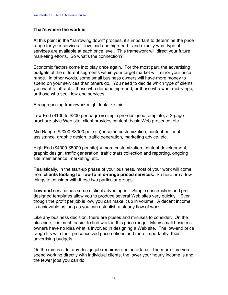#### **That's where the work is.**

At this point in the "narrowing down" process, it's important to determine the price range for your services -- low, mid and high-end-- and exactly what type of services are available at each price level. This framework will direct your future marketing efforts. So what's the connection?

Economic factors come into play once again. For the most part, the advertising budgets of the different segments within your target market will mirror your price range. In other words, some small business owners will have more money to spend on your services than others do. You need to decide which type of clients you want to attract… those who demand high-end, or those who want mid-range, or those who seek low-end services.

A rough pricing framework might look like this…

Low End  $$100$  to \$200 per page) = simple pre-designed template, a 2-page brochure-style Web site, client provides content, basic Web presence, etc.

Mid Range (\$2000-\$3000 per site) = some customization, content editorial assistance, graphic design, traffic generation, marketing advice, etc.

High End (\$4000-\$5000 per site) = more customization, content development, graphic design, traffic generation, traffic stats collection and reporting, ongoing site maintenance, marketing, etc.

Realistically, in the start-up phase of your business, most of your work will come from **clients looking for low to mid-range priced services.** So here are a few things to consider with these two particular groups…

**Low-end** service has some distinct advantages. Simple construction and predesigned templates allow you to produce several Web sites very quickly. Even though the profit per job is low, you can make it up in volume. A decent income is achievable as long as you can establish a steady flow of work.

Like any business decision, there are pluses and minuses to consider. On the plus side, it is much easier to find work in this price range. Many small business owners have no idea what is involved in designing a Web site. The low-end price range fits with their preconceived price notions and more importantly, their advertising budgets.

On the minus side, any design job requires client interface. The more time you spend working directly with individual clients, the lower your hourly income is and the fewer jobs you can do.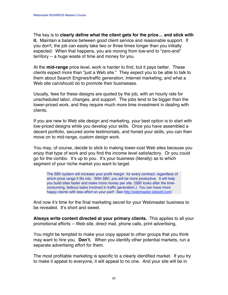The key is to **clearly define what the client gets for the price… and stick with it.** Maintain a balance between good client service and reasonable support. If you don't, the job can easily take two or three times longer than you initially expected. When that happens, you are moving from low-end to "zero-end" territory -- a huge waste of time and money for you.

At the **mid-range** price level, work is harder to find, but it pays better. These clients expect more than "just a Web site." They expect you to be able to talk to them about Search Engines/traffic generation, Internet marketing, and what a Web site can/should do to promote their businesses.

Usually, fees for these designs are quoted by the job, with an hourly rate for unscheduled labor, changes, and support. The jobs tend to be bigger than the lower-priced work, and they require much more time investment in dealing with clients.

If you are new to Web site design and marketing, your best option is to start with low-priced designs while you develop your skills. Once you have assembled a decent portfolio, secured some testimonials, and honed your skills, you can then move on to mid-range, custom design work.

You may, of course, decide to stick to making lower-cost Web sites because you enjoy that type of work and you find the income level satisfactory. Or you could go for the combo. It's up to you. It's your business (literally) as to which segment of your niche market you want to target.

The SBI! system will increase your profit margin for every contract, regardless of which price range it fits into. With SBI!, you will be more productive. It will help you build sites faster and make more money per site. (SBI! looks after the timeconsuming, tedious tasks involved in traffic generation.) You can have more happy clients with less effort on your part! See [http://webmaster.sitesell.com/](http://webmaster.sitesell.com/gitbwebaffiliate.html                   )

And now it's time for the final marketing secret for your Webmaster business to be revealed. It's short and sweet.

**Always write content directed at your primary clients.** This applies to all your promotional efforts -- Web site, direct mail, phone calls, print advertising,

You might be tempted to make your copy appeal to other groups that you think may want to hire you. **Don't.** When you identify other potential markets, run a separate advertising effort for them.

The most profitable marketing is specific to a clearly identified market. If you try to make it appeal to everyone, it will appeal to no one. And your site will be in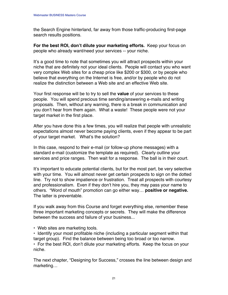the Search Engine hinterland, far away from those traffic-producing first-page search results positions.

**For the best ROI, don't dilute your marketing efforts.** Keep your focus on people who already want/need your services -- your niche.

It's a good time to note that sometimes you will attract prospects within your niche that are definitely not your ideal clients. People will contact you who want very complex Web sites for a cheap price like \$200 or \$300, or by people who believe that everything on the Internet is free, and/or by people who do not realize the distinction between a Web site and an effective Web site.

Your first response will be to try to sell the **value** of your services to these people. You will spend precious time sending/answering e-mails and writing proposals. Then, without any warning, there is a break in communication and you don't hear from them again. What a waste! These people were not your target market in the first place.

After you have done this a few times, you will realize that people with unrealistic expectations almost never become paying clients, even if they appear to be part of your target market. What's the solution?

In this case, respond to their e-mail (or follow-up phone messages) with a standard e-mail (customize the template as required). Clearly outline your services and price ranges. Then wait for a response. The ball is in their court.

It's important to educate potential clients, but for the most part, be very selective with your time. You will almost never get certain prospects to sign on the dotted line. Try not to show impatience or frustration. Treat all prospects with courtesy and professionalism. Even if they don't hire you, they may pass your name to others. "Word of mouth" promotion can go either way… **positive or negative.** The latter is preventable.

If you walk away from this Course and forget everything else, remember these three important marketing concepts or secrets. They will make the difference between the success and failure of your business...

**•** Web sites are marketing tools.

**•** Identify your most profitable niche (including a particular segment within that target group). Find the balance between being too broad or too narrow. **•** For the best ROI, don't dilute your marketing efforts. Keep the focus on your

niche.

The next chapter, "Designing for Success," crosses the line between design and marketing…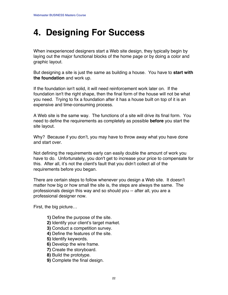## **4. Designing For Success**

When inexperienced designers start a Web site design, they typically begin by laying out the major functional blocks of the home page or by doing a color and graphic layout.

But designing a site is just the same as building a house. You have to **start with the foundation** and work up.

If the foundation isn't solid, it will need reinforcement work later on. If the foundation isn't the right shape, then the final form of the house will not be what you need. Trying to fix a foundation after it has a house built on top of it is an expensive and time-consuming process.

A Web site is the same way. The functions of a site will drive its final form. You need to define the requirements as completely as possible **before** you start the site layout.

Why? Because if you don't, you may have to throw away what you have done and start over.

Not defining the requirements early can easily double the amount of work you have to do. Unfortunately, you don't get to increase your price to compensate for this. After all, it's not the client's fault that you didn't collect all of the requirements before you began.

There are certain steps to follow whenever you design a Web site. It doesn't matter how big or how small the site is, the steps are always the same. The professionals design this way and so should you -- after all, you are a professional designer now.

First, the big picture…

- **1)** Define the purpose of the site.
- **2)** Identify your client's target market.
- **3)** Conduct a competition survey.
- **4)** Define the features of the site.
- **5)** Identify keywords.
- **6)** Develop the wire frame.
- **7)** Create the storyboard.
- **8)** Build the prototype.
- **9)** Complete the final design.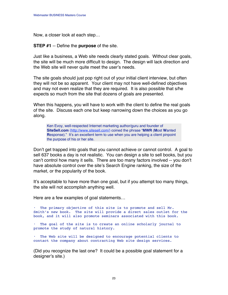Now, a closer look at each step…

**STEP #1** -- Define the **purpose** of the site.

Just like a business, a Web site needs clearly stated goals. Without clear goals, the site will be much more difficult to design. The design will lack direction and the Web site will never quite meet the user's needs.

The site goals should just pop right out of your initial client interview, but often they will not be so apparent. Your client may not have well-defined objectives and may not even realize that they are required. It is also possible that s/he expects so much from the site that dozens of goals are presented.

When this happens, you will have to work with the client to define the real goals of the site. Discuss each one but keep narrowing down the choices as you go along.

Ken Evoy, well-respected Internet marketing author/guru and founder of **SiteSell.com** [\(http://www.sitesell.com/\)](http://www.sitesell.com/gitbwebaffiliate.html                         ) coined the phrase "**MWR** (**M**ost **W**anted **Response)."** It's an excellent term to use when you are helping a client pinpoint the purpose of his or her site.

Don't get trapped into goals that you cannot achieve or cannot control. A goal to sell 637 books a day is not realistic. You can design a site to sell books, but you can't control how many it sells. There are too many factors involved -- you don't have absolute control over the site's Search Engine ranking, the size of the market, or the popularity of the book.

It's acceptable to have more than one goal, but if you attempt too many things, the site will not accomplish anything well.

Here are a few examples of goal statements…

**•** The primary objective of this site is to promote and sell Mr. Smith's new book. The site will provide a direct sales outlet for the book, and it will also promote seminars associated with this book.

**•** The goal of the site is to create an online scholarly journal to promote the study of natural history.

**•** The Web site will be designed to encourage potential clients to contact the company about contracting Web site design services.

(Did you recognize the last one? It could be a possible goal statement for a designer's site.)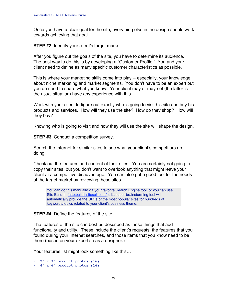Once you have a clear goal for the site, everything else in the design should work towards achieving that goal.

**STEP #2** Identify your client's target market.

After you figure out the goals of the site, you have to determine its audience. The best way to do this is by developing a "Customer Profile." You and your client need to define as many specific customer characteristics as possible.

This is where your marketing skills come into play -- especially, your knowledge about niche marketing and market segments. You don't have to be an expert but you do need to share what you know. Your client may or may not (the latter is the usual situation) have any experience with this.

Work with your client to figure out exactly who is going to visit his site and buy his products and services. How will they use the site? How do they shop? How will they buy?

Knowing who is going to visit and how they will use the site will shape the design.

**STEP #3** Conduct a competition survey.

Search the Internet for similar sites to see what your client's competitors are doing.

Check out the features and content of their sites. You are certainly not going to copy their sites, but you don't want to overlook anything that might leave your client at a competitive disadvantage. You can also get a good feel for the needs of the target market by reviewing these sites.

You can do this manually via your favorite Search Engine tool, or you can use Site Build It! (http:buildit.sitesell.com/). Its super-brainstorming tool will automatically provide the URLs of the most popular sites for hundreds of keywords/topics related to your client's business theme.

#### **STEP #4** Define the features of the site

The features of the site can best be described as those things that add functionality and utility. These include the client's requests, the features that you found during your Internet searches, and those items that you know need to be there (based on your expertise as a designer.)

Your features list might look something like this…

**•** 2" x 3" product photos (16) **•** 4" x 6" product photos (16)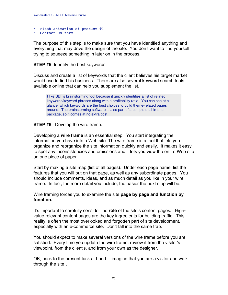- **•** Flash animation of product #1
- **•** Contact Us form

The purpose of this step is to make sure that you have identified anything and everything that may drive the design of the site. You don't want to find yourself trying to squeeze something in later on in the process.

**STEP #5** Identify the best keywords.

Discuss and create a list of keywords that the client believes his target market would use to find his business. There are also several keyword search tools available online that can help you supplement the list.

I like [SBI!](http://buildit.sitesell.com/gitbwebaffiliate.html                     )'s brainstorming tool because it quickly identifies a list of related keywords/keyword phrases along with a profitability ratio. You can see at a glance, which keywords are the best choices to build theme-related pages around. The brainstorming software is also part of a complete all-in-one package, so it comes at no extra cost.

#### **STEP #6** Develop the wire frame.

Developing a **wire frame** is an essential step. You start integrating the information you have into a Web site. The wire frame is a tool that lets you organize and reorganize the site information quickly and easily. It makes it easy to spot any inconsistencies and omissions and it lets you view the entire Web site on one piece of paper.

Start by making a site map (list of all pages). Under each page name, list the features that you will put on that page, as well as any subordinate pages. You should include comments, ideas, and as much detail as you like in your wire frame. In fact, the more detail you include, the easier the next step will be.

Wire framing forces you to examine the site **page by page and function by function.**

It's important to carefully consider the **role** of the site's content pages. Highvalue relevant content pages are the key ingredients for building traffic. This reality is often the most overlooked and forgotten part of site development, especially with an e-commerce site. Don't fall into the same trap.

You should expect to make several versions of the wire frame before you are satisfied. Every time you update the wire frame, review it from the visitor's viewpoint, from the client's, and from your own as the designer.

OK, back to the present task at hand… imagine that you are a visitor and walk through the site…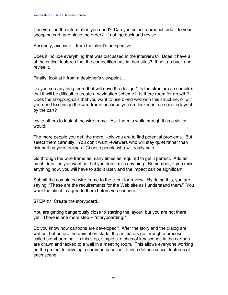Can you find the information you need? Can you select a product, add it to your shopping cart, and place the order? If not, go back and revise it.

Secondly, examine it from the client's perspective…

Does it include everything that was discussed in the interviews? Does it have all of the critical features that the competition has in their sites? If not, go back and revise it.

Finally, look at it from a designer's viewpoint…

Do you see anything there that will drive the design? Is the structure so complex that it will be difficult to create a navigation scheme? Is there room for growth? Does the shopping cart that you want to use blend well with this structure, or will you need to change the wire frame because you are locked into a specific layout by the cart?

Invite others to look at the wire frame. Ask them to walk through it as a visitor would.

The more people you get, the more likely you are to find potential problems. But select them carefully. You don't want reviewers who will stay quiet rather than risk hurting your feelings. Choose people who will really help.

Go through the wire frame as many times as required to get it perfect. Add as much detail as you want so that you don't miss anything. Remember, if you miss anything now, you will have to add it later, and the impact can be significant.

Submit the completed wire frame to the client for review. By doing this, you are saying, "These are the requirements for the Web site as I understand them." You want the client to agree to them before you continue.

**STEP #7** Create the storyboard.

You are getting dangerously close to starting the layout, but you are not there yet. There is one more step -- "storyboarding."

Do you know how cartoons are developed? After the story and the dialog are written, but before the animation starts, the animators go through a process called storyboarding. In this step, simple sketches of key scenes in the cartoon are drawn and tacked to a wall in a meeting room. This allows everyone working on the project to develop a common baseline. It also defines critical features of each scene.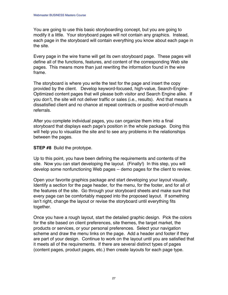You are going to use this basic storyboarding concept, but you are going to modify it a little. Your storyboard pages will not contain any graphics. Instead, each page in the storyboard will contain everything you know about each page in the site.

Every page in the wire frame will get its own storyboard page. These pages will define all of the functions, features, and content of the corresponding Web site pages. This means more than just rewriting the information found in the wire frame.

The storyboard is where you write the text for the page and insert the copy provided by the client. Develop keyword-focused, high-value, Search-Engine-Optimized content pages that will please both visitor and Search Engine alike. If you don't, the site will not deliver traffic or sales (i.e., results). And that means a dissatisfied client and no chance at repeat contracts or positive word-of-mouth referrals.

After you complete individual pages, you can organize them into a final storyboard that displays each page's position in the whole package. Doing this will help you to visualize the site and to see any problems in the relationships between the pages.

#### **STEP #8** Build the prototype.

Up to this point, you have been defining the requirements and contents of the site. Now you can start developing the layout. (Finally!) In this step, you will develop some nonfunctioning Web pages -- demo pages for the client to review.

Open your favorite graphics package and start developing your layout visually. Identify a section for the page header, for the menu, for the footer, and for all of the features of the site. Go through your storyboard sheets and make sure that every page can be comfortably mapped into the proposed layout. If something isn't right, change the layout or revise the storyboard until everything fits together.

Once you have a rough layout, start the detailed graphic design. Pick the colors for the site based on client preferences, site themes, the target market, the products or services, or your personal preferences. Select your navigation scheme and draw the menu links on the page. Add a header and footer if they are part of your design. Continue to work on the layout until you are satisfied that it meets all of the requirements. If there are several distinct types of pages (content pages, product pages, etc.) then create layouts for each page type.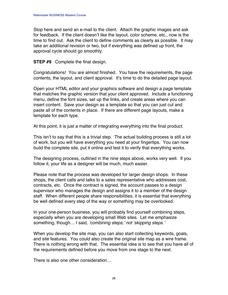Stop here and send an e-mail to the client. Attach the graphic images and ask for feedback. If the client doesn't like the layout, color scheme, etc., now is the time to find out. Ask the client to define comments as clearly as possible. It may take an additional revision or two, but if everything was defined up front, the approval cycle should go smoothly.

**STEP #9** Complete the final design.

Congratulations! You are almost finished. You have the requirements, the page contents, the layout, and client approval. It's time to do the detailed page layout.

Open your HTML editor and your graphics software and design a page template that matches the graphic version that your client approved. Include a functioning menu, define the font sizes, set up the links, and create areas where you can insert content. Save your design as a template so that you can just cut and paste all of the contents in place. If there are different page layouts, make a template for each type.

At this point, it is just a matter of integrating everything into the final product.

This isn't to say that this is a trivial step. The actual building process is still a lot of work, but you will have everything you need at your fingertips. You can now build the complete site, put it online and test it to verify that everything works.

The designing process, outlined in the nine steps above, works very well. If you follow it, your life as a designer will be much, much easier.

Please note that the process was developed for larger design shops. In these shops, the client calls and talks to a sales representative who addresses cost, contracts, etc. Once the contract is signed, the account passes to a design supervisor who manages the design and assigns it to a member of the design staff. When different people share responsibilities, it is essential that everything be well defined every step of the way or something may be overlooked.

In your one-person business, you will probably find yourself combining steps, especially when you are developing small Web sites. Let me emphasize something, though… I said, 'combining steps,' not 'skipping steps.'

When you develop the site map, you can also start collecting keywords, goals, and site features. You could also create the original site map as a wire frame. There is nothing wrong with that. The essential idea is to see that you have all of the requirements defined before you move from one stage to the next.

There is also one other consideration…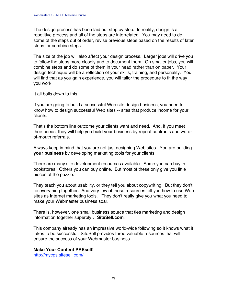The design process has been laid out step by step. In reality, design is a repetitive process and all of the steps are interrelated. You may need to do some of the steps out of order, revise previous steps based on the results of later steps, or combine steps.

The size of the job will also affect your design process. Larger jobs will drive you to follow the steps more closely and to document them. On smaller jobs, you will combine steps and do some of them in your head rather than on paper. Your design technique will be a reflection of your skills, training, and personality. You will find that as you gain experience, you will tailor the procedure to fit the way you work.

It all boils down to this…

If you are going to build a successful Web site design business, you need to know how to design successful Web sites -- sites that produce income for your clients.

That's the bottom line outcome your clients want and need. And, if you meet their needs, they will help you build your business by repeat contracts and wordof-mouth referrals.

Always keep in mind that you are not just designing Web sites. You are building **your business** by developing marketing tools for your clients.

There are many site development resources available. Some you can buy in bookstores. Others you can buy online. But most of these only give you little pieces of the puzzle.

They teach you about usability, or they tell you about copywriting. But they don't tie everything together. And very few of these resources tell you how to use Web sites as Internet marketing tools. They don't really give you what you need to make your Webmaster business soar.

There is, however, one small business source that ties marketing and design information together superbly… **SiteSell.com**.

This company already has an impressive world-wide following so it knows what it takes to be successful. SiteSell provides three valuable resources that will ensure the success of your Webmaster business…

**Make Your Content PREsell!**

[http://mycps.sitesell.com/](http://mycps.sitesell.com/gitbwebaffiliate.html                       )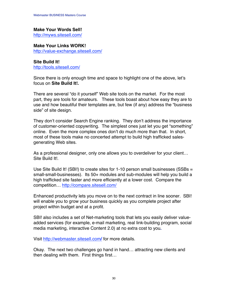#### **Make Your Words Sell!**

[http://myws.sitesell.com/](http://myws.sitesell.com/gitbwebaffiliate.html                        )

**Make Your Links WORK!** [http://value-exchange.sitesell.com/](http://value-exchanges.sitesell.com/gitbwebaffiliate.html             )

**Site Build It!** [http://tools.sitesell.com/](http://tools.sitesell.com/gitbwebaffiliate.html                       )

Since there is only enough time and space to highlight one of the above, let's focus on **Site Build It!.**

There are several "do it yourself" Web site tools on the market. For the most part, they are tools for amateurs. These tools boast about how easy they are to use and how beautiful their templates are, but few (if any) address the "business side" of site design.

They don't consider Search Engine ranking. They don't address the importance of customer-oriented copywriting. The simplest ones just let you get "something" online. Even the more complex ones don't do much more than that. In short, most of these tools make no concerted attempt to build high trafficked salesgenerating Web sites.

As a professional designer, only one allows you to overdeliver for your client… Site Build It!.

Use Site Build It! (SBI!) to create sites for 1-10 person small businesses (SSBs = small-small-businesses). Its 50+ modules and sub-modules will help you build a high trafficked site faster and more efficiently at a lower cost. Compare the competition… [http://compare.sitesell.com/](http://compare.sitesell.com/gitbwebaffiliate.html                     )

Enhanced productivity lets you move on to the next contract in line sooner. SBI! will enable you to grow your business quickly as you complete project after project within budget and at a profit.

SBI! also includes a set of Net-marketing tools that lets you easily deliver valueadded services (for example, e-mail marketing, real link-building program, social media marketing, interactive Content 2.0) at no extra cost to you**.**

Visit [http://webmaster.sitesell.com](http://webmaster.sitesell.com/gitbwebaffiliate.html                   )**/** for more details.

Okay. The next two challenges go hand in hand… attracting new clients and then dealing with them. First things first…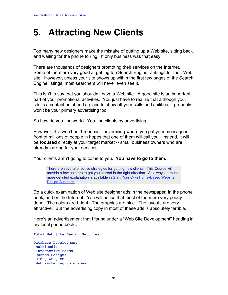### **5. Attracting New Clients**

Too many new designers make the mistake of putting up a Web site, sitting back, and waiting for the phone to ring. If only business was that easy.

There are thousands of designers promoting their services on the Internet. Some of them are very good at getting top Search Engine rankings for their Web site. However, unless your site shows up within the first few pages of the Search Engine listings, most searchers will never even see it.

This isn't to say that you shouldn't have a Web site. A good site is an important part of your promotional activities. You just have to realize that although your site is a contact point and a place to show off your skills and abilities, it probably won't be your primary advertising tool.

So how do you find work? You find clients by advertising.

However, this won't be "broadcast" advertising where you put your message in front of millions of people in hopes that one of them will call you. Instead, it will be **focused** directly at your target market -- small business owners who are already looking for your services.

Your clients aren't going to come to you. **You have to go to them.**

There are several effective strategies for getting new clients. This Course will provide a few pointers to get you started in the right direction. As always, a much more detailed explanation is available in [Start Your Own Home-Based Website](http://www.websitedesignbiz.com/) [Design Business.](http://www.websitedesignbiz.com/)

Do a quick examination of Web site designer ads in the newspaper, in the phone book, and on the Internet. You will notice that most of them are very poorly done. The colors are bright. The graphics are nice. The layouts are very attractive. But the advertising copy in most of these ads is absolutely terrible.

Here's an advertisement that I found under a "Web Site Development" heading in my local phone book…

Total Web Site Design Services

Database Development Multimedia Interactive Forms Custom Designs HTML, ASP, XML Web Marketing Solutions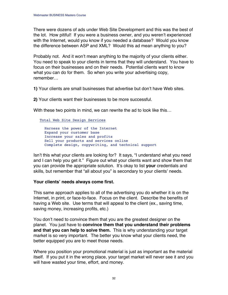There were dozens of ads under Web Site Development and this was the best of the lot. How pitiful! If you were a business owner, and you weren't experienced with the Internet, would you know if you needed a database? Would you know the difference between ASP and XML? Would this ad mean anything to you?

Probably not. And it won't mean anything to the majority of your clients either. You need to speak to your clients in terms that they will understand. You have to focus on their businesses and on their needs. Potential clients want to know what you can do for them. So when you write your advertising copy, remember…

**1)** Your clients are small businesses that advertise but don't have Web sites.

**2)** Your clients want their businesses to be more successful.

With these two points in mind, we can rewrite the ad to look like this…

Total Web Site Design Services

 Harness the power of the Internet Expand your customer base Increase your sales and profits Sell your products and services online Complete design, copywriting, and technical support

Isn't this what your clients are looking for? It says, "I understand what you need and I can help you get it." Figure out what your clients want and show them that you can provide the appropriate solution. It's okay to list **your** credentials and skills, but remember that "all about you" is secondary to your clients' needs.

#### **Your clients' needs always come first.**

This same approach applies to all of the advertising you do whether it is on the Internet, in print, or face-to-face. Focus on the client. Describe the benefits of having a Web site. Use terms that will appeal to the client (ex., saving time, saving money, increasing profits, etc.)

You don't need to convince them that you are the greatest designer on the planet. You just have to **convince them that you understand their problems and that you can help to solve them.** This is why understanding your target market is so very important. The better you know what your clients need, the better equipped you are to meet those needs.

Where you position your promotional material is just as important as the material itself. If you put it in the wrong place, your target market will never see it and you will have wasted your time, effort, and money.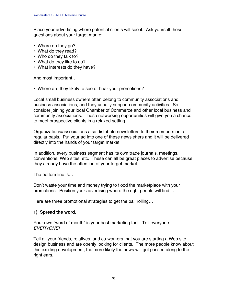Place your advertising where potential clients will see it. Ask yourself these questions about your target market…

- **•** Where do they go?
- **•** What do they read?
- **•** Who do they talk to?
- **•** What do they like to do?
- **•** What interests do they have?

And most important…

**•** Where are they likely to see or hear your promotions?

Local small business owners often belong to community associations and business associations, and they usually support community activities. So consider joining your local Chamber of Commerce and other local business and community associations. These networking opportunities will give you a chance to meet prospective clients in a relaxed setting.

Organizations/associations also distribute newsletters to their members on a regular basis. Put your ad into one of these newsletters and it will be delivered directly into the hands of your target market.

In addition, every business segment has its own trade journals, meetings, conventions, Web sites, etc. These can all be great places to advertise because they already have the attention of your target market.

The bottom line is…

Don't waste your time and money trying to flood the marketplace with your promotions. Position your advertising where the right people will find it.

Here are three promotional strategies to get the ball rolling…

#### **1) Spread the word.**

Your own "word of mouth" is your best marketing tool. Tell everyone. EVERYONE!

Tell all your friends, relatives, and co-workers that you are starting a Web site design business and are openly looking for clients. The more people know about this exciting development, the more likely the news will get passed along to the right ears.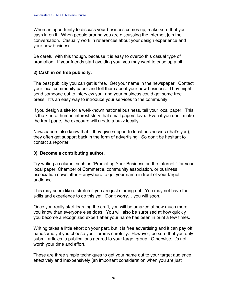When an opportunity to discuss your business comes up, make sure that you cash in on it. When people around you are discussing the Internet, join the conversation. Casually work in references about your design experience and your new business.

Be careful with this though, because it is easy to overdo this casual type of promotion. If your friends start avoiding you, you may want to ease up a bit.

#### **2) Cash in on free publicity.**

The best publicity you can get is free. Get your name in the newspaper. Contact your local community paper and tell them about your new business. They might send someone out to interview you, and your business could get some free press. It's an easy way to introduce your services to the community.

If you design a site for a well-known national business, tell your local paper. This is the kind of human interest story that small papers love. Even if you don't make the front page, the exposure will create a buzz locally.

Newspapers also know that if they give support to local businesses (that's you), they often get support back in the form of advertising. So don't be hesitant to contact a reporter.

#### **3) Become a contributing author.**

Try writing a column, such as "Promoting Your Business on the Internet," for your local paper, Chamber of Commerce, community association, or business association newsletter -- anywhere to get your name in front of your target audience.

This may seem like a stretch if you are just starting out. You may not have the skills and experience to do this yet. Don't worry… you will soon.

Once you really start learning the craft, you will be amazed at how much more you know than everyone else does. You will also be surprised at how quickly you become a recognized expert after your name has been in print a few times.

Writing takes a little effort on your part, but it is free advertising and it can pay off handsomely if you choose your forums carefully. However, be sure that you only submit articles to publications geared to your target group. Otherwise, it's not worth your time and effort.

These are three simple techniques to get your name out to your target audience effectively and inexpensively (an important consideration when you are just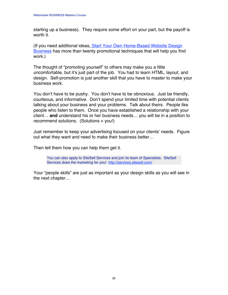starting up a business). They require some effort on your part, but the payoff is worth it.

(If you need additional ideas, [Start Your Own Home-Based Website Design](http://www.websitedesignbiz.com/) **Business** has more than twenty promotional techniques that will help you find work.)

The thought of "promoting yourself" to others may make you a little uncomfortable, but it's just part of the job. You had to learn HTML, layout, and design. Self-promotion is just another skill that you have to master to make your business work.

You don't have to be pushy. You don't have to be obnoxious. Just be friendly, courteous, and informative. Don't spend your limited time with potential clients talking about your business and your problems. Talk about theirs. People like people who listen to them. Once you have established a relationship with your client… **and** understand his or her business needs… you will be in a position to recommend solutions. (Solutions = you!)

Just remember to keep your advertising focused on your clients' needs. Figure out what they want and need to make their business better…

Then tell them how you can help them get it.

You can also apply to SiteSell Services and join its team of Specialists. SiteSell Services does the marketing for you! [http://services.sitesell.com/](http://services.sitesell.com/gitbwebaffiliate.html                    )

Your "people skills" are just as important as your design skills as you will see in the next chapter…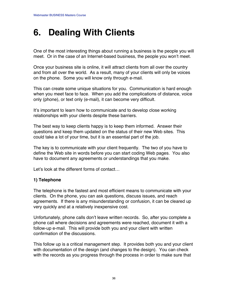### **6. Dealing With Clients**

One of the most interesting things about running a business is the people you will meet. Or in the case of an Internet-based business, the people you won't meet.

Once your business site is online, it will attract clients from all over the country and from all over the world. As a result, many of your clients will only be voices on the phone. Some you will know only through e-mail.

This can create some unique situations for you. Communication is hard enough when you meet face to face. When you add the complications of distance, voice only (phone), or text only (e-mail), it can become very difficult.

It's important to learn how to communicate and to develop close working relationships with your clients despite these barriers.

The best way to keep clients happy is to keep them informed. Answer their questions and keep them updated on the status of their new Web sites. This could take a lot of your time, but it is an essential part of the job.

The key is to communicate with your client frequently. The two of you have to define the Web site in words before you can start coding Web pages. You also have to document any agreements or understandings that you make.

Let's look at the different forms of contact…

### **1) Telephone**

The telephone is the fastest and most efficient means to communicate with your clients. On the phone, you can ask questions, discuss issues, and reach agreements. If there is any misunderstanding or confusion, it can be cleared up very quickly and at a relatively inexpensive cost.

Unfortunately, phone calls don't leave written records. So, after you complete a phone call where decisions and agreements were reached, document it with a follow-up e-mail. This will provide both you and your client with written confirmation of the discussions.

This follow up is a critical management step. It provides both you and your client with documentation of the design (and changes to the design). You can check with the records as you progress through the process in order to make sure that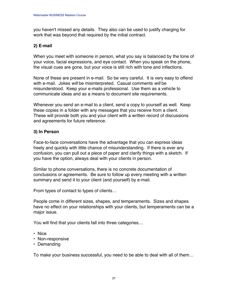you haven't missed any details. They also can be used to justify charging for work that was beyond that required by the initial contract.

#### **2) E-mail**

When you meet with someone in person, what you say is balanced by the tone of your voice, facial expressions, and eye contact. When you speak on the phone, the visual cues are gone, but your voice is still rich with tone and inflections.

None of these are present in e-mail. So be very careful. It is very easy to offend with e-mail. Jokes will be misinterpreted. Casual comments will be misunderstood. Keep your e-mails professional. Use them as a vehicle to communicate ideas and as a means to document site requirements.

Whenever you send an e-mail to a client, send a copy to yourself as well. Keep these copies in a folder with any messages that you receive from a client. These will provide both you and your client with a written record of discussions and agreements for future reference.

#### **3) In Person**

Face-to-face conversations have the advantage that you can express ideas freely and quickly with little chance of misunderstanding. If there is ever any confusion, you can pull out a piece of paper and clarify things with a sketch. If you have the option, always deal with your clients in person.

Similar to phone conversations, there is no concrete documentation of conclusions or agreements. Be sure to follow up every meeting with a written summary and send it to your client (and yourself) by e-mail.

From types of contact to types of clients…

People come in different sizes, shapes, and temperaments. Sizes and shapes have no effect on your relationships with your clients, but temperaments can be a major issue.

You will find that your clients fall into three categories…

- **•** Nice
- **•** Non-responsive
- **•** Demanding

To make your business successful, you need to be able to deal with all of them…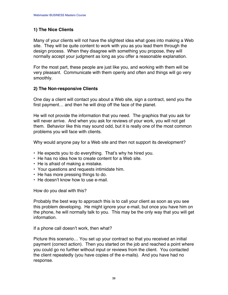#### **1) The Nice Clients**

Many of your clients will not have the slightest idea what goes into making a Web site. They will be quite content to work with you as you lead them through the design process. When they disagree with something you propose, they will normally accept your judgment as long as you offer a reasonable explanation.

For the most part, these people are just like you, and working with them will be very pleasant. Communicate with them openly and often and things will go very smoothly.

#### **2) The Non-responsive Clients**

One day a client will contact you about a Web site, sign a contract, send you the first payment… and then he will drop off the face of the planet.

He will not provide the information that you need. The graphics that you ask for will never arrive. And when you ask for reviews of your work, you will not get them. Behavior like this may sound odd, but it is really one of the most common problems you will face with clients.

Why would anyone pay for a Web site and then not support its development?

- **•** He expects you to do everything. That's why he hired you.
- **•** He has no idea how to create content for a Web site.
- **•** He is afraid of making a mistake.
- **•** Your questions and requests intimidate him.
- **•** He has more pressing things to do.
- **•** He doesn't know how to use e-mail.

How do you deal with this?

Probably the best way to approach this is to call your client as soon as you see this problem developing. He might ignore your e-mail, but once you have him on the phone, he will normally talk to you. This may be the only way that you will get information.

If a phone call doesn't work, then what?

Picture this scenario… You set up your contract so that you received an initial payment (correct action). Then you started on the job and reached a point where you could go no further without input or reviews from the client. You contacted the client repeatedly (you have copies of the e-mails). And you have had no response.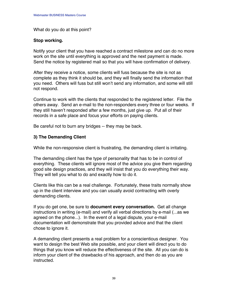What do you do at this point?

#### **Stop working.**

Notify your client that you have reached a contract milestone and can do no more work on the site until everything is approved and the next payment is made. Send the notice by registered mail so that you will have confirmation of delivery.

After they receive a notice, some clients will fuss because the site is not as complete as they think it should be, and they will finally send the information that you need. Others will fuss but still won't send any information, and some will still not respond.

Continue to work with the clients that responded to the registered letter. File the others away. Send an e-mail to the non-responders every three or four weeks. If they still haven't responded after a few months, just give up. Put all of their records in a safe place and focus your efforts on paying clients.

Be careful not to burn any bridges -- they may be back.

#### **3) The Demanding Client**

While the non-responsive client is frustrating, the demanding client is irritating.

The demanding client has the type of personality that has to be in control of everything. These clients will ignore most of the advice you give them regarding good site design practices, and they will insist that you do everything their way. They will tell you what to do and exactly how to do it.

Clients like this can be a real challenge. Fortunately, these traits normally show up in the client interview and you can usually avoid contracting with overly demanding clients.

If you do get one, be sure to **document every conversation.** Get all change instructions in writing (e-mail) and verify all verbal directions by e-mail (...as we agreed on the phone...). In the event of a legal dispute, your e-mail documentation will demonstrate that you provided advice and that the client chose to ignore it.

A demanding client presents a real problem for a conscientious designer. You want to design the best Web site possible, and your client will direct you to do things that you know will reduce the effectiveness of the site. All you can do is inform your client of the drawbacks of his approach, and then do as you are instructed.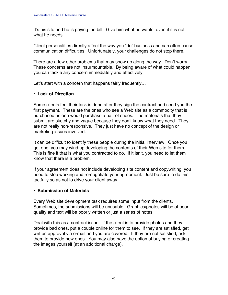It's his site and he is paying the bill. Give him what he wants, even if it is not what he needs.

Client personalities directly affect the way you "do" business and can often cause communication difficulties. Unfortunately, your challenges do not stop there.

There are a few other problems that may show up along the way. Don't worry. These concerns are not insurmountable. By being aware of what could happen, you can tackle any concern immediately and effectively.

Let's start with a concern that happens fairly frequently…

#### **• Lack of Direction**

Some clients feel their task is done after they sign the contract and send you the first payment. These are the ones who see a Web site as a commodity that is purchased as one would purchase a pair of shoes. The materials that they submit are sketchy and vague because they don't know what they need. They are not really non-responsive. They just have no concept of the design or marketing issues involved.

It can be difficult to identify these people during the initial interview. Once you get one, you may wind up developing the contents of their Web site for them. This is fine if that is what you contracted to do. If it isn't, you need to let them know that there is a problem.

If your agreement does not include developing site content and copywriting, you need to stop working and re-negotiate your agreement. Just be sure to do this tactfully so as not to drive your client away.

#### **• Submission of Materials**

Every Web site development task requires some input from the clients. Sometimes, the submissions will be unusable. Graphics/photos will be of poor quality and text will be poorly written or just a series of notes.

Deal with this as a contract issue. If the client is to provide photos and they provide bad ones, put a couple online for them to see. If they are satisfied, get written approval via e-mail and you are covered. If they are not satisfied, ask them to provide new ones. You may also have the option of buying or creating the images yourself (at an additional charge).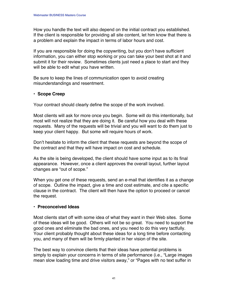How you handle the text will also depend on the initial contract you established. If the client is responsible for providing all site content, let him know that there is a problem and explain the impact in terms of labor hours and cost.

If you are responsible for doing the copywriting, but you don't have sufficient information, you can either stop working or you can take your best shot at it and submit it for their review. Sometimes clients just need a place to start and they will be able to edit what you have written.

Be sure to keep the lines of communication open to avoid creating misunderstandings and resentment.

#### **• Scope Creep**

Your contract should clearly define the scope of the work involved.

Most clients will ask for more once you begin. Some will do this intentionally, but most will not realize that they are doing it. Be careful how you deal with these requests. Many of the requests will be trivial and you will want to do them just to keep your client happy. But some will require hours of work.

Don't hesitate to inform the client that these requests are beyond the scope of the contract and that they will have impact on cost and schedule.

As the site is being developed, the client should have some input as to its final appearance. However, once a client approves the overall layout, further layout changes are "out of scope."

When you get one of these requests, send an e-mail that identifies it as a change of scope. Outline the impact, give a time and cost estimate, and cite a specific clause in the contract. The client will then have the option to proceed or cancel the request.

#### **• Preconceived Ideas**

Most clients start off with some idea of what they want in their Web sites. Some of these ideas will be good. Others will not be so great. You need to support the good ones and eliminate the bad ones, and you need to do this very tactfully. Your client probably thought about these ideas for a long time before contacting you, and many of them will be firmly planted in her vision of the site.

The best way to convince clients that their ideas have potential problems is simply to explain your concerns in terms of site performance (i.e., "Large images mean slow loading time and drive visitors away," or "Pages with no text suffer in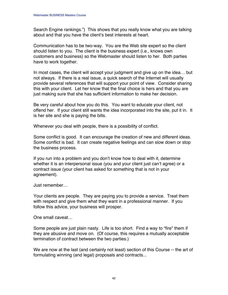Search Engine rankings.") This shows that you really know what you are talking about and that you have the client's best interests at heart.

Communication has to be two-way. You are the Web site expert so the client should listen to you. The client is the business expert (i.e., knows own customers and business) so the Webmaster should listen to her. Both parties have to work together.

In most cases, the client will accept your judgment and give up on the idea… but not always. If there is a real issue, a quick search of the Internet will usually provide several references that will support your point of view. Consider sharing this with your client. Let her know that the final choice is hers and that you are just making sure that she has sufficient information to make her decision.

Be very careful about how you do this. You want to educate your client, not offend her. If your client still wants the idea incorporated into the site, put it in. It is her site and she is paying the bills.

Whenever you deal with people, there is a possibility of conflict.

Some conflict is good. It can encourage the creation of new and different ideas. Some conflict is bad. It can create negative feelings and can slow down or stop the business process.

If you run into a problem and you don't know how to deal with it, determine whether it is an interpersonal issue (you and your client just can't agree) or a contract issue (your client has asked for something that is not in your agreement).

Just remember…

Your clients are people. They are paying you to provide a service. Treat them with respect and give them what they want in a professional manner. If you follow this advice, your business will prosper.

One small caveat…

Some people are just plain nasty. Life is too short. Find a way to "fire" them if they are abusive and move on. (Of course, this requires a mutually acceptable termination of contract between the two parties.)

We are now at the last (and certainly not least) section of this Course -- the art of formulating winning (and legal) proposals and contracts...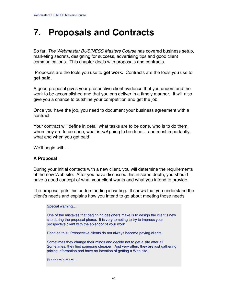### **7. Proposals and Contracts**

So far, The Webmaster BUSINESS Masters Course has covered business setup, marketing secrets, designing for success, advertising tips and good client communications. This chapter deals with proposals and contracts.

 Proposals are the tools you use to **get work.** Contracts are the tools you use to **get paid.**

A good proposal gives your prospective client evidence that you understand the work to be accomplished and that you can deliver in a timely manner. It will also give you a chance to outshine your competition and get the job.

Once you have the job, you need to document your business agreement with a contract.

Your contract will define in detail what tasks are to be done, who is to do them, when they are to be done, what is *not* going to be done... and most importantly, what and when you get paid!

We'll begin with…

#### **A Proposal**

During your initial contacts with a new client, you will determine the requirements of the new Web site. After you have discussed this in some depth, you should have a good concept of what your client wants and what you intend to provide.

The proposal puts this understanding in writing. It shows that you understand the client's needs and explains how you intend to go about meeting those needs.

Special warning…

One of the mistakes that beginning designers make is to design the client's new site during the proposal phase. It is very tempting to try to impress your prospective client with the splendor of your work.

Don't do this! Prospective clients do not always become paying clients.

Sometimes they change their minds and decide not to get a site after all. Sometimes, they find someone cheaper. And very often, they are just gathering pricing information and have no intention of getting a Web site.

But there's more…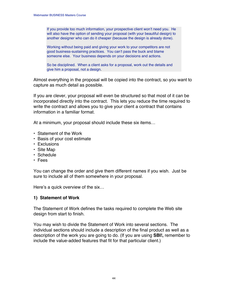If you provide too much information, your prospective client won't need you. He will also have the option of sending your proposal (with your beautiful design) to another designer who can do it cheaper (because the design is already done).

Working without being paid and giving your work to your competitors are not good business-sustaining practices. You can't pass the buck and blame someone else. Your business depends on your decisions and actions.

So be disciplined. When a client asks for a proposal, work out the details and give him a proposal, not a design.

Almost everything in the proposal will be copied into the contract, so you want to capture as much detail as possible.

If you are clever, your proposal will even be structured so that most of it can be incorporated directly into the contract. This lets you reduce the time required to write the contract and allows you to give your client a contract that contains information in a familiar format.

At a minimum, your proposal should include these six items…

- **•** Statement of the Work
- **•** Basis of your cost estimate
- **•** Exclusions
- **•** Site Map
- **•** Schedule
- **•** Fees

You can change the order and give them different names if you wish. Just be sure to include all of them somewhere in your proposal.

Here's a quick overview of the six…

#### **1) Statement of Work**

The Statement of Work defines the tasks required to complete the Web site design from start to finish.

You may wish to divide the Statement of Work into several sections. The individual sections should include a description of the final product as well as a description of the work you are going to do. (If you are using **SBI!,** remember to include the value-added features that fit for that particular client.)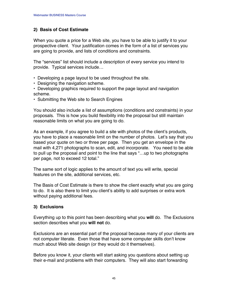#### **2) Basis of Cost Estimate**

When you quote a price for a Web site, you have to be able to justify it to your prospective client. Your justification comes in the form of a list of services you are going to provide, and lists of conditions and constraints.

The "services" list should include a description of every service you intend to provide. Typical services include…

- Developing a page layout to be used throughout the site.
- Designing the navigation scheme.
- **•** Developing graphics required to support the page layout and navigation scheme.
- **•** Submitting the Web site to Search Engines

You should also include a list of assumptions (conditions and constraints) in your proposals. This is how you build flexibility into the proposal but still maintain reasonable limits on what you are going to do.

As an example, if you agree to build a site with photos of the client's products, you have to place a reasonable limit on the number of photos. Let's say that you based your quote on two or three per page. Then you get an envelope in the mail with 4,271 photographs to scan, edit, and incorporate. You need to be able to pull up the proposal and point to the line that says "…up to two photographs per page, not to exceed 12 total."

The same sort of logic applies to the amount of text you will write, special features on the site, additional services, etc.

The Basis of Cost Estimate is there to show the client exactly what you are going to do. It is also there to limit you client's ability to add surprises or extra work without paying additional fees.

### **3) Exclusions**

Everything up to this point has been describing what you **will** do. The Exclusions section describes what you **will not** do.

Exclusions are an essential part of the proposal because many of your clients are not computer literate. Even those that have some computer skills don't know much about Web site design (or they would do it themselves).

Before you know it, your clients will start asking you questions about setting up their e-mail and problems with their computers. They will also start forwarding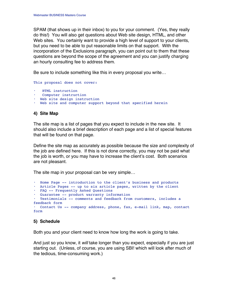SPAM (that shows up in their inbox) to you for your comment. (Yes, they really do this!) You will also get questions about Web site design, HTML, and other Web sites. You certainly want to provide a high level of support to your clients, but you need to be able to put reasonable limits on that support. With the incorporation of the Exclusions paragraph, you can point out to them that these questions are beyond the scope of the agreement and you can justify charging an hourly consulting fee to address them.

Be sure to include something like this in every proposal you write…

This proposal does not cover:

- **•** HTML instruction
- **•** Computer instruction
- **•** Web site design instruction
- **•** Web site and computer support beyond that specified herein

#### **4) Site Map**

The site map is a list of pages that you expect to include in the new site. It should also include a brief description of each page and a list of special features that will be found on that page.

Define the site map as accurately as possible because the size and complexity of the job are defined here. If this is not done correctly, you may not be paid what the job is worth, or you may have to increase the client's cost. Both scenarios are not pleasant.

The site map in your proposal can be very simple…

```
• Home Page -- introduction to the client's business and products
• Article Pages -- up to six article pages, written by the client
• FAQ -- Frequently Asked Questions
• Guarantee -- product warranty information
• Testimonials -- comments and feedback from customers, includes a
feedback form
• Contact Us -- company address, phone, fax, e-mail link, map, contact
form
```
#### **5) Schedule**

Both you and your client need to know how long the work is going to take.

And just so you know, it will take longer than you expect, especially if you are just starting out. (Unless, of course, you are using SBI! which will look after much of the tedious, time-consuming work.)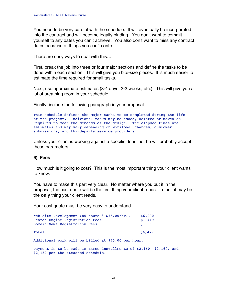You need to be very careful with the schedule. It will eventually be incorporated into the contract and will become legally binding. You don't want to commit yourself to any dates you can't achieve. You also don't want to miss any contract dates because of things you can't control.

There are easy ways to deal with this…

First, break the job into three or four major sections and define the tasks to be done within each section. This will give you bite-size pieces. It is much easier to estimate the time required for small tasks.

Next, use approximate estimates (3-4 days, 2-3 weeks, etc.). This will give you a lot of breathing room in your schedule.

Finally, include the following paragraph in your proposal…

This schedule defines the major tasks to be completed during the life of the project. Individual tasks may be added, deleted or moved as required to meet the demands of the design. The elapsed times are estimates and may vary depending on workload, changes, customer submissions, and third-party service providers.

Unless your client is working against a specific deadline, he will probably accept these parameters.

#### **6) Fees**

How much is it going to cost? This is the most important thing your client wants to know.

You have to make this part very clear. No matter where you put it in the proposal, the cost quote will be the first thing your client reads. In fact, it may be the **only** thing your client reads.

Your cost quote must be very easy to understand…

| Web site Development (80 hours $\theta$ \$75.00/hr.)                                                           | \$6,000  |
|----------------------------------------------------------------------------------------------------------------|----------|
| Search Engine Registration Fees                                                                                | 449      |
| Domain Name Registration Fees                                                                                  | 30<br>S. |
|                                                                                                                |          |
| Total                                                                                                          | \$6,479  |
| - SALA MARINE AND A MARINE AND A MARINE AND A SALAMA AND A SALAMA AND A SALAMA A SALAMA A SALAMA A SALAMA A SA |          |

Additional work will be billed at \$75.00 per hour.

Payment is to be made in three installments of \$2,160, \$2,160, and \$2,159 per the attached schedule.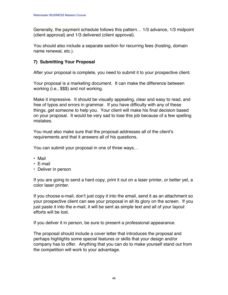Generally, the payment schedule follows this pattern… 1/3 advance, 1/3 midpoint (client approval) and 1/3 delivered (client approval).

You should also include a separate section for recurring fees (hosting, domain name renewal, etc.).

### **7) Submitting Your Proposal**

After your proposal is complete, you need to submit it to your prospective client.

Your proposal is a marketing document. It can make the difference between working (i.e., \$\$\$) and not working.

Make it impressive. It should be visually appealing, clear and easy to read, and free of typos and errors in grammar. If you have difficulty with any of these things, get someone to help you. Your client will make his final decision based on your proposal. It would be very sad to lose this job because of a few spelling mistakes.

You must also make sure that the proposal addresses all of the client's requirements and that it answers all of his questions.

You can submit your proposal in one of three ways…

- **•** Mail
- **•** E-mail
- **•** Deliver in person

If you are going to send a hard copy, print it out on a laser printer, or better yet, a color laser printer.

If you choose e-mail, don't just copy it into the email, send it as an attachment so your prospective client can see your proposal in all its glory on the screen. If you just paste it into the e-mail, it will be sent as simple text and all of your layout efforts will be lost.

If you deliver it in person, be sure to present a professional appearance.

The proposal should include a cover letter that introduces the proposal and perhaps highlights some special features or skills that your design and/or company has to offer. Anything that you can do to make yourself stand out from the competition will work to your advantage.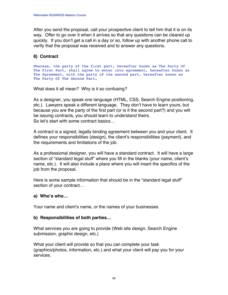After you send the proposal, call your prospective client to tell him that it is on its way. Offer to go over it when it arrives so that any questions can be cleared up quickly. If you don't get a call in a day or so, follow up with another phone call to verify that the proposal was received and to answer any questions.

#### **8) Contract**

Whereas, the party of the first part, hereafter known as The Party Of The First Part, shall agree to enter into agreement, hereafter known as The Agreement, with the party of the second part, hereafter known as The Party Of The Second Part...

What does it all mean? Why is it so confusing?

As a designer, you speak one language (HTML, CSS, Search Engine positioning, etc.). Lawyers speak a different language. They don't have to learn yours, but because you are the party of the first part (or is it the second part?) and you will be issuing contracts, you should learn to understand theirs. So let's start with some contract basics…

A contract is a signed, legally binding agreement between you and your client. It defines your responsibilities (design), the client's responsibilities (payment), and the requirements and limitations of the job.

As a professional designer, you will have a standard contract. It will have a large section of "standard legal stuff" where you fill in the blanks (your name, client's name, etc.). It will also include a place where you will insert the specifics of the job from the proposal.

Here is some sample information that should be in the "standard legal stuff" section of your contract…

### **a) Who's who…**

Your name and client's name, or the names of your businesses

#### **b) Responsibilities of both parties…**

What services you are going to provide (Web site design, Search Engine submission, graphic design, etc.)

What your client will provide so that you can complete your task (graphics/photos, information, etc.) and what your client will pay you for your services.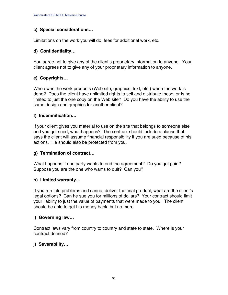#### **c) Special considerations…**

Limitations on the work you will do, fees for additional work, etc.

#### **d) Confidentiality…**

You agree not to give any of the client's proprietary information to anyone. Your client agrees not to give any of your proprietary information to anyone.

### **e) Copyrights…**

Who owns the work products (Web site, graphics, text, etc.) when the work is done? Does the client have unlimited rights to sell and distribute these, or is he limited to just the one copy on the Web site? Do you have the ability to use the same design and graphics for another client?

### **f) Indemnification…**

If your client gives you material to use on the site that belongs to someone else and you get sued, what happens? The contract should include a clause that says the client will assume financial responsibility if you are sued because of his actions. He should also be protected from you.

### **g) Termination of contract…**

What happens if one party wants to end the agreement? Do you get paid? Suppose you are the one who wants to quit? Can you?

### **h) Limited warranty…**

If you run into problems and cannot deliver the final product, what are the client's legal options? Can he sue you for millions of dollars? Your contract should limit your liability to just the value of payments that were made to you. The client should be able to get his money back, but no more.

### **i) Governing law…**

Contract laws vary from country to country and state to state. Where is your contract defined?

### **j) Severability…**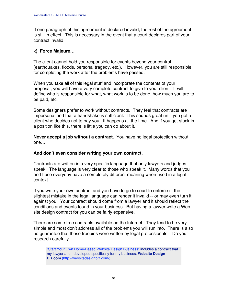If one paragraph of this agreement is declared invalid, the rest of the agreement is still in effect. This is necessary in the event that a court declares part of your contract invalid.

#### **k) Force Majeure…**

The client cannot hold you responsible for events beyond your control (earthquakes, floods, personal tragedy, etc.). However, you are still responsible for completing the work after the problems have passed.

When you take all of this legal stuff and incorporate the contents of your proposal, you will have a very complete contract to give to your client. It will define who is responsible for what, what work is to be done, how much you are to be paid, etc.

Some designers prefer to work without contracts. They feel that contracts are impersonal and that a handshake is sufficient. This sounds great until you get a client who decides not to pay you. It happens all the time. And if you get stuck in a position like this, there is little you can do about it.

**Never accept a job without a contract.** You have no legal protection without one…

#### **And don't even consider writing your own contract.**

Contracts are written in a very specific language that only lawyers and judges speak. The language is very clear to those who speak it. Many words that you and I use everyday have a completely different meaning when used in a legal context.

If you write your own contract and you have to go to court to enforce it, the slightest mistake in the legal language can render it invalid -- or may even turn it against you. Your contract should come from a lawyer and it should reflect the conditions and events found in your business. But having a lawyer write a Web site design contract for you can be fairly expensive.

There are some free contracts available on the Internet. They tend to be very simple and most don't address all of the problems you will run into. There is also no guarantee that these freebies were written by legal professionals. Do your research carefully.

["Start Your Own Home-Based Website Design Business"](http://www.websitedesignbiz.com/) includes a contract that my lawyer and I developed specifically for my business, **Website Design Biz.com** [\(http://websitedesignbiz.com/\).](http://www.websitedesignbiz.com/)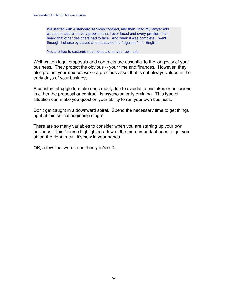We started with a standard services contract, and then I had my lawyer add clauses to address every problem that I ever faced and every problem that I heard that other designers had to face. And when it was complete, I went through it clause by clause and translated the "legalese" into English.

You are free to customize this template for your own use.

Well-written legal proposals and contracts are essential to the longevity of your business. They protect the obvious -- your time and finances. However, they also protect your *enthusiasm* -- a precious asset that is not always valued in the early days of your business.

A constant struggle to make ends meet, due to avoidable mistakes or omissions in either the proposal or contract, is psychologically draining. This type of situation can make you question your ability to run your own business.

Don't get caught in a downward spiral. Spend the necessary time to get things right at this critical beginning stage!

There are so many variables to consider when you are starting up your own business. This Course highlighted a few of the more important ones to get you off on the right track. It's now in your hands.

OK, a few final words and then you're off…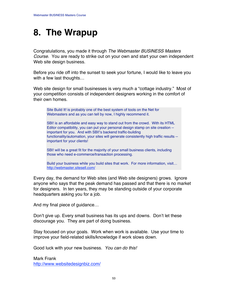### **8. The Wrapup**

Congratulations, you made it through The Webmaster BUSINESS Masters Course. You are ready to strike out on your own and start your own independent Web site design business.

Before you ride off into the sunset to seek your fortune, I would like to leave you with a few last thoughts…

Web site design for small businesses is very much a "cottage industry." Most of your competition consists of independent designers working in the comfort of their own homes.

Site Build It! is probably one of the best system of tools on the Net for Webmasters and as you can tell by now, I highly recommend it.

SBI! is an affordable and easy way to stand out from the crowd. With its HTML Editor compatibility, you can put your personal design stamp on site creation - important for you. And with SBI!'s backend traffic-building functionality/automation, your sites will generate consistently high traffic results - important for your clients!

SBI! will be a great fit for the majority of your small business clients, including those who need e-commerce/transaction processing.

Build your business while you build sites that work. For more information, visit… [http://webmaster.sitesell.com/](http://webmaster.sitesell.com/gitbwebaffiliate.html                   )

Every day, the demand for Web sites (and Web site designers) grows. Ignore anyone who says that the peak demand has passed and that there is no market for designers. In ten years, they may be standing outside of your corporate headquarters asking you for a job.

And my final piece of guidance…

Don't give up. Every small business has its ups and downs. Don't let these discourage you. They are part of doing business.

Stay focused on your goals. Work when work is available. Use your time to improve your field-related skills/knowledge if work slows down.

Good luck with your new business. You can do this!

Mark Frank <http://www.websitedesignbiz.com/>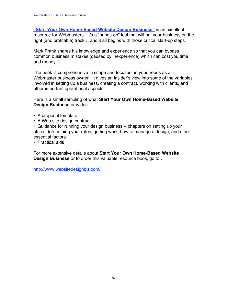**["Start Your Own Home-Based Website Design Business"](http://www.websitedesignbiz.com/)** is an excellent resource for Webmasters. It's a "hands-on" tool that will put your business on the right (and profitable) track… and it all begins with those critical start-up steps.

Mark Frank shares his knowledge and experience so that you can bypass common business mistakes (caused by inexperience) which can cost you time and money.

The book is comprehensive in scope and focuses on your needs as a Webmaster business owner. It gives an insider's view into some of the variables involved in setting up a business, creating a contract, working with clients, and other important operational aspects.

Here is a small sampling of what **Start Your Own Home-Based Website Design Business** provides…

- **•** A proposal template
- **•** A Web site design contract

**•** Guidance for running your design business -- chapters on setting up your office, determining your rates, getting work, how to manage a design, and other essential factors

**•** Practical aids

For more extensive details about **Start Your Own Home-Based Website Design Business** or to order this valuable resource book, go to…

<http://www.websitedesignbiz.com/>